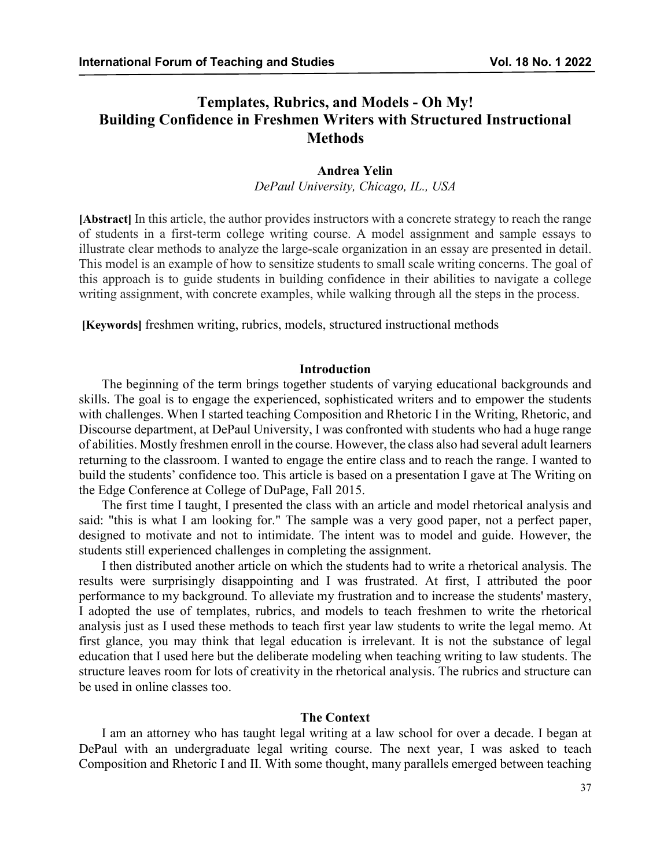# **Templates, Rubrics, and Models - Oh My! Building Confidence in Freshmen Writers with Structured Instructional Methods**

#### **Andrea Yelin**

*DePaul University, Chicago, IL., USA*

**[Abstract]** In this article, the author provides instructors with a concrete strategy to reach the range of students in a first-term college writing course. A model assignment and sample essays to illustrate clear methods to analyze the large-scale organization in an essay are presented in detail. This model is an example of how to sensitize students to small scale writing concerns. The goal of this approach is to guide students in building confidence in their abilities to navigate a college writing assignment, with concrete examples, while walking through all the steps in the process.

**[Keywords]** freshmen writing, rubrics, models, structured instructional methods

#### **Introduction**

The beginning of the term brings together students of varying educational backgrounds and skills. The goal is to engage the experienced, sophisticated writers and to empower the students with challenges. When I started teaching Composition and Rhetoric I in the Writing, Rhetoric, and Discourse department, at DePaul University, I was confronted with students who had a huge range of abilities. Mostly freshmen enroll in the course. However, the class also had several adult learners returning to the classroom. I wanted to engage the entire class and to reach the range. I wanted to build the students' confidence too. This article is based on a presentation I gave at The Writing on the Edge Conference at College of DuPage, Fall 2015.

The first time I taught, I presented the class with an article and model rhetorical analysis and said: "this is what I am looking for." The sample was a very good paper, not a perfect paper, designed to motivate and not to intimidate. The intent was to model and guide. However, the students still experienced challenges in completing the assignment.

I then distributed another article on which the students had to write a rhetorical analysis. The results were surprisingly disappointing and I was frustrated. At first, I attributed the poor performance to my background. To alleviate my frustration and to increase the students' mastery, I adopted the use of templates, rubrics, and models to teach freshmen to write the rhetorical analysis just as I used these methods to teach first year law students to write the legal memo. At first glance, you may think that legal education is irrelevant. It is not the substance of legal education that I used here but the deliberate modeling when teaching writing to law students. The structure leaves room for lots of creativity in the rhetorical analysis. The rubrics and structure can be used in online classes too.

#### **The Context**

I am an attorney who has taught legal writing at a law school for over a decade. I began at DePaul with an undergraduate legal writing course. The next year, I was asked to teach Composition and Rhetoric I and II. With some thought, many parallels emerged between teaching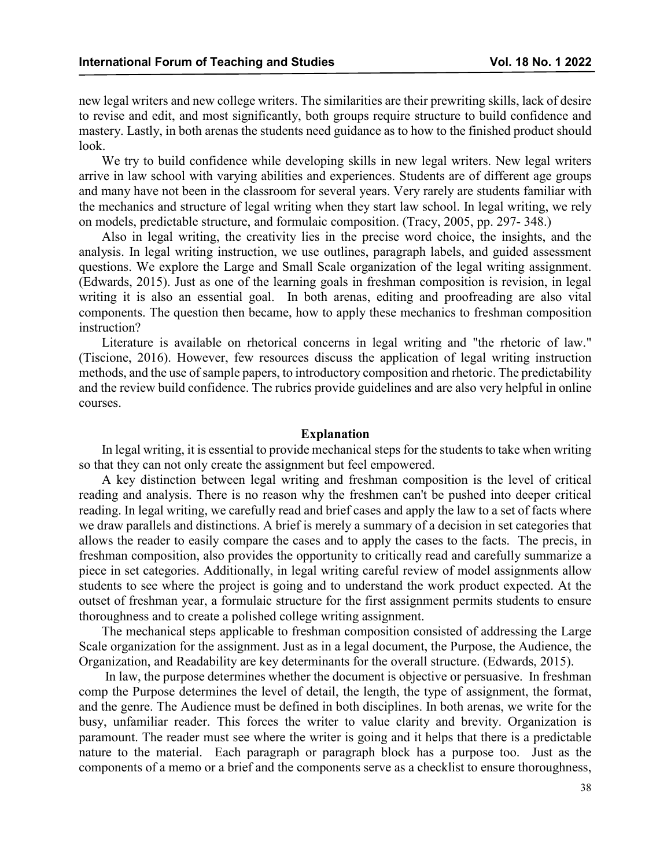new legal writers and new college writers. The similarities are their prewriting skills, lack of desire to revise and edit, and most significantly, both groups require structure to build confidence and mastery. Lastly, in both arenas the students need guidance as to how to the finished product should look.

We try to build confidence while developing skills in new legal writers. New legal writers arrive in law school with varying abilities and experiences. Students are of different age groups and many have not been in the classroom for several years. Very rarely are students familiar with the mechanics and structure of legal writing when they start law school. In legal writing, we rely on models, predictable structure, and formulaic composition. (Tracy, 2005, pp. 297- 348.)

Also in legal writing, the creativity lies in the precise word choice, the insights, and the analysis. In legal writing instruction, we use outlines, paragraph labels, and guided assessment questions. We explore the Large and Small Scale organization of the legal writing assignment. (Edwards, 2015). Just as one of the learning goals in freshman composition is revision, in legal writing it is also an essential goal. In both arenas, editing and proofreading are also vital components. The question then became, how to apply these mechanics to freshman composition instruction?

Literature is available on rhetorical concerns in legal writing and "the rhetoric of law." (Tiscione, 2016). However, few resources discuss the application of legal writing instruction methods, and the use of sample papers, to introductory composition and rhetoric. The predictability and the review build confidence. The rubrics provide guidelines and are also very helpful in online courses.

#### **Explanation**

In legal writing, it is essential to provide mechanical steps for the students to take when writing so that they can not only create the assignment but feel empowered.

A key distinction between legal writing and freshman composition is the level of critical reading and analysis. There is no reason why the freshmen can't be pushed into deeper critical reading. In legal writing, we carefully read and brief cases and apply the law to a set of facts where we draw parallels and distinctions. A brief is merely a summary of a decision in set categories that allows the reader to easily compare the cases and to apply the cases to the facts. The precis, in freshman composition, also provides the opportunity to critically read and carefully summarize a piece in set categories. Additionally, in legal writing careful review of model assignments allow students to see where the project is going and to understand the work product expected. At the outset of freshman year, a formulaic structure for the first assignment permits students to ensure thoroughness and to create a polished college writing assignment.

The mechanical steps applicable to freshman composition consisted of addressing the Large Scale organization for the assignment. Just as in a legal document, the Purpose, the Audience, the Organization, and Readability are key determinants for the overall structure. (Edwards, 2015).

In law, the purpose determines whether the document is objective or persuasive. In freshman comp the Purpose determines the level of detail, the length, the type of assignment, the format, and the genre. The Audience must be defined in both disciplines. In both arenas, we write for the busy, unfamiliar reader. This forces the writer to value clarity and brevity. Organization is paramount. The reader must see where the writer is going and it helps that there is a predictable nature to the material. Each paragraph or paragraph block has a purpose too. Just as the components of a memo or a brief and the components serve as a checklist to ensure thoroughness,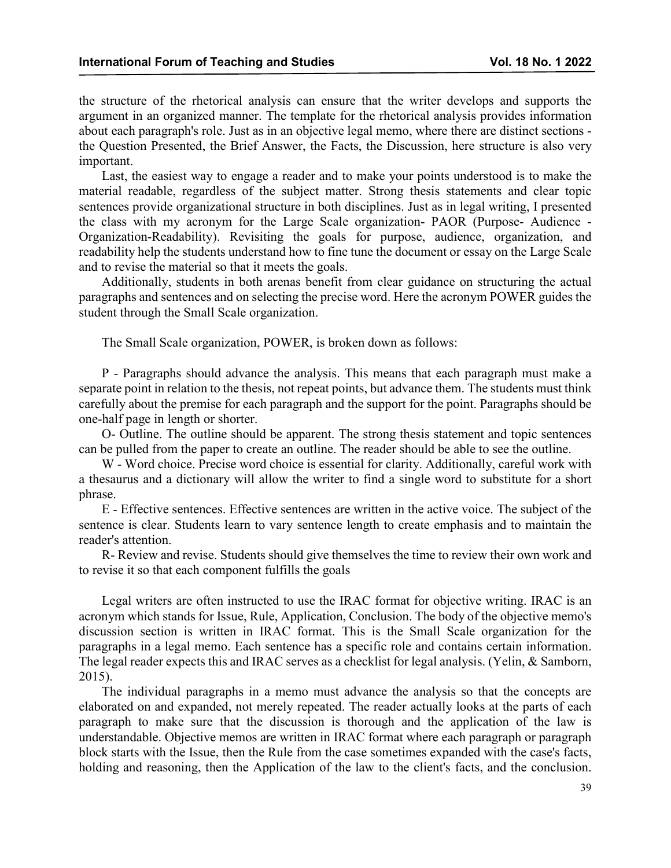the structure of the rhetorical analysis can ensure that the writer develops and supports the argument in an organized manner. The template for the rhetorical analysis provides information about each paragraph's role. Just as in an objective legal memo, where there are distinct sections the Question Presented, the Brief Answer, the Facts, the Discussion, here structure is also very important.

Last, the easiest way to engage a reader and to make your points understood is to make the material readable, regardless of the subject matter. Strong thesis statements and clear topic sentences provide organizational structure in both disciplines. Just as in legal writing, I presented the class with my acronym for the Large Scale organization- PAOR (Purpose- Audience - Organization-Readability). Revisiting the goals for purpose, audience, organization, and readability help the students understand how to fine tune the document or essay on the Large Scale and to revise the material so that it meets the goals.

Additionally, students in both arenas benefit from clear guidance on structuring the actual paragraphs and sentences and on selecting the precise word. Here the acronym POWER guides the student through the Small Scale organization.

The Small Scale organization, POWER, is broken down as follows:

P - Paragraphs should advance the analysis. This means that each paragraph must make a separate point in relation to the thesis, not repeat points, but advance them. The students must think carefully about the premise for each paragraph and the support for the point. Paragraphs should be one-half page in length or shorter.

O- Outline. The outline should be apparent. The strong thesis statement and topic sentences can be pulled from the paper to create an outline. The reader should be able to see the outline.

W - Word choice. Precise word choice is essential for clarity. Additionally, careful work with a thesaurus and a dictionary will allow the writer to find a single word to substitute for a short phrase.

E - Effective sentences. Effective sentences are written in the active voice. The subject of the sentence is clear. Students learn to vary sentence length to create emphasis and to maintain the reader's attention.

R- Review and revise. Students should give themselves the time to review their own work and to revise it so that each component fulfills the goals

Legal writers are often instructed to use the IRAC format for objective writing. IRAC is an acronym which stands for Issue, Rule, Application, Conclusion. The body of the objective memo's discussion section is written in IRAC format. This is the Small Scale organization for the paragraphs in a legal memo. Each sentence has a specific role and contains certain information. The legal reader expects this and IRAC serves as a checklist for legal analysis. (Yelin, & Samborn, 2015).

The individual paragraphs in a memo must advance the analysis so that the concepts are elaborated on and expanded, not merely repeated. The reader actually looks at the parts of each paragraph to make sure that the discussion is thorough and the application of the law is understandable. Objective memos are written in IRAC format where each paragraph or paragraph block starts with the Issue, then the Rule from the case sometimes expanded with the case's facts, holding and reasoning, then the Application of the law to the client's facts, and the conclusion.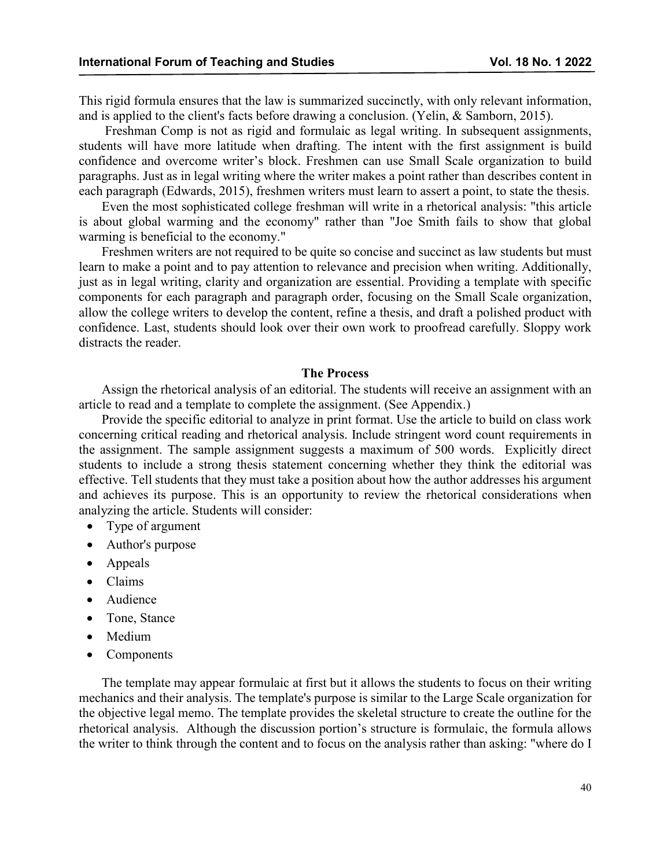This rigid formula ensures that the law is summarized succinctly, with only relevant information, and is applied to the client's facts before drawing a conclusion. (Yelin, & Samborn, 2015).

Freshman Comp is not as rigid and formulaic as legal writing. In subsequent assignments, students will have more latitude when drafting. The intent with the first assignment is build confidence and overcome writer's block. Freshmen can use Small Scale organization to build paragraphs. Just as in legal writing where the writer makes a point rather than describes content in each paragraph (Edwards, 2015), freshmen writers must learn to assert a point, to state the thesis.

Even the most sophisticated college freshman will write in a rhetorical analysis: "this article is about global warming and the economy" rather than "Joe Smith fails to show that global warming is beneficial to the economy."

Freshmen writers are not required to be quite so concise and succinct as law students but must learn to make a point and to pay attention to relevance and precision when writing. Additionally, just as in legal writing, clarity and organization are essential. Providing a template with specific components for each paragraph and paragraph order, focusing on the Small Scale organization, allow the college writers to develop the content, refine a thesis, and draft a polished product with confidence. Last, students should look over their own work to proofread carefully. Sloppy work distracts the reader.

#### **The Process**

Assign the rhetorical analysis of an editorial. The students will receive an assignment with an article to read and a template to complete the assignment. (See Appendix.)

Provide the specific editorial to analyze in print format. Use the article to build on class work concerning critical reading and rhetorical analysis. Include stringent word count requirements in the assignment. The sample assignment suggests a maximum of 500 words. Explicitly direct students to include a strong thesis statement concerning whether they think the editorial was effective. Tell students that they must take a position about how the author addresses his argument and achieves its purpose. This is an opportunity to review the rhetorical considerations when analyzing the article. Students will consider:

- Type of argument
- Author's purpose
- Appeals
- Claims
- Audience
- Tone, Stance
- Medium
- Components

The template may appear formulaic at first but it allows the students to focus on their writing mechanics and their analysis. The template's purpose is similar to the Large Scale organization for the objective legal memo. The template provides the skeletal structure to create the outline for the rhetorical analysis. Although the discussion portion's structure is formulaic, the formula allows the writer to think through the content and to focus on the analysis rather than asking: "where do I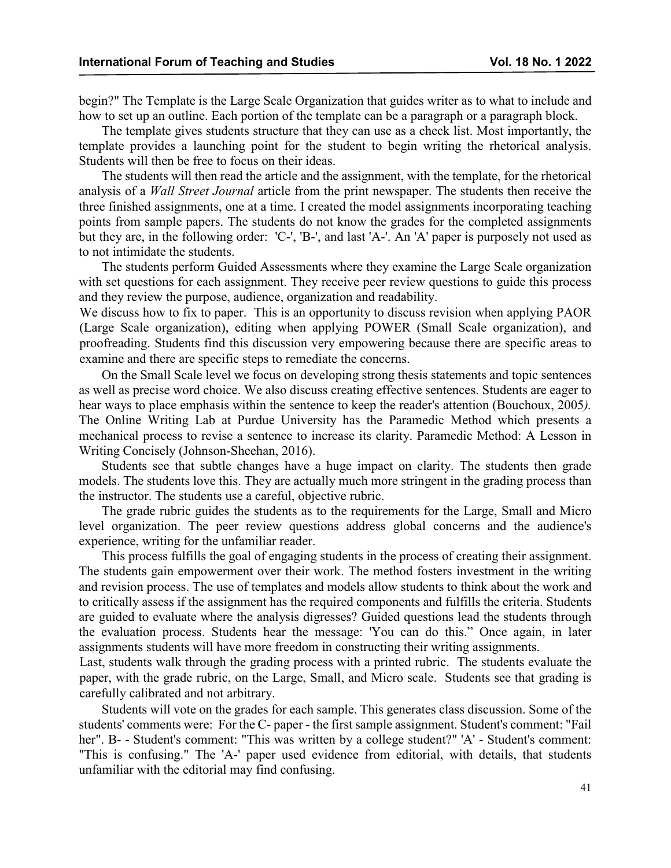begin?" The Template is the Large Scale Organization that guides writer as to what to include and how to set up an outline. Each portion of the template can be a paragraph or a paragraph block.

The template gives students structure that they can use as a check list. Most importantly, the template provides a launching point for the student to begin writing the rhetorical analysis. Students will then be free to focus on their ideas.

The students will then read the article and the assignment, with the template, for the rhetorical analysis of a *Wall Street Journal* article from the print newspaper. The students then receive the three finished assignments, one at a time. I created the model assignments incorporating teaching points from sample papers. The students do not know the grades for the completed assignments but they are, in the following order: 'C-', 'B-', and last 'A-'. An 'A' paper is purposely not used as to not intimidate the students.

The students perform Guided Assessments where they examine the Large Scale organization with set questions for each assignment. They receive peer review questions to guide this process and they review the purpose, audience, organization and readability.

We discuss how to fix to paper. This is an opportunity to discuss revision when applying PAOR (Large Scale organization), editing when applying POWER (Small Scale organization), and proofreading. Students find this discussion very empowering because there are specific areas to examine and there are specific steps to remediate the concerns.

On the Small Scale level we focus on developing strong thesis statements and topic sentences as well as precise word choice. We also discuss creating effective sentences. Students are eager to hear ways to place emphasis within the sentence to keep the reader's attention (Bouchoux, 2005*).* The Online Writing Lab at Purdue University has the Paramedic Method which presents a mechanical process to revise a sentence to increase its clarity. Paramedic Method: A Lesson in Writing Concisely (Johnson-Sheehan, 2016).

Students see that subtle changes have a huge impact on clarity. The students then grade models. The students love this. They are actually much more stringent in the grading process than the instructor. The students use a careful, objective rubric.

The grade rubric guides the students as to the requirements for the Large, Small and Micro level organization. The peer review questions address global concerns and the audience's experience, writing for the unfamiliar reader.

This process fulfills the goal of engaging students in the process of creating their assignment. The students gain empowerment over their work. The method fosters investment in the writing and revision process. The use of templates and models allow students to think about the work and to critically assess if the assignment has the required components and fulfills the criteria. Students are guided to evaluate where the analysis digresses? Guided questions lead the students through the evaluation process. Students hear the message: 'You can do this." Once again, in later assignments students will have more freedom in constructing their writing assignments.

Last, students walk through the grading process with a printed rubric. The students evaluate the paper, with the grade rubric, on the Large, Small, and Micro scale. Students see that grading is carefully calibrated and not arbitrary.

Students will vote on the grades for each sample. This generates class discussion. Some of the students' comments were: For the C- paper - the first sample assignment. Student's comment: "Fail her". B- - Student's comment: "This was written by a college student?" 'A' - Student's comment: "This is confusing." The 'A-' paper used evidence from editorial, with details, that students unfamiliar with the editorial may find confusing.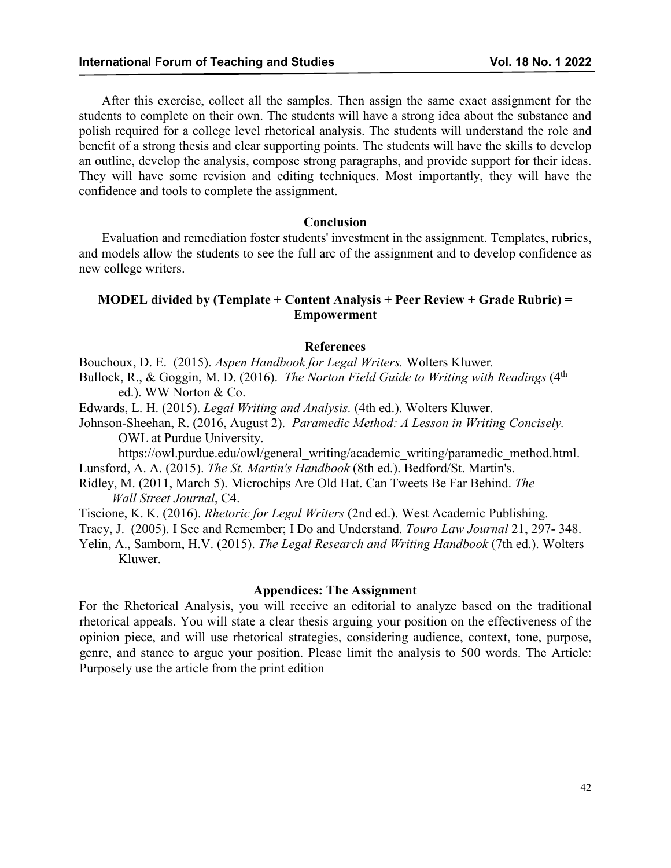After this exercise, collect all the samples. Then assign the same exact assignment for the students to complete on their own. The students will have a strong idea about the substance and polish required for a college level rhetorical analysis. The students will understand the role and benefit of a strong thesis and clear supporting points. The students will have the skills to develop an outline, develop the analysis, compose strong paragraphs, and provide support for their ideas. They will have some revision and editing techniques. Most importantly, they will have the confidence and tools to complete the assignment.

#### **Conclusion**

Evaluation and remediation foster students' investment in the assignment. Templates, rubrics, and models allow the students to see the full arc of the assignment and to develop confidence as new college writers.

### **MODEL divided by (Template + Content Analysis + Peer Review + Grade Rubric) = Empowerment**

#### **References**

Bouchoux, D. E. (2015). *Aspen Handbook for Legal Writers.* Wolters Kluwer*.*

Bullock, R., & Goggin, M. D. (2016). *The Norton Field Guide to Writing with Readings* (4<sup>th</sup>) ed.). WW Norton & Co.

Edwards, L. H. (2015). *Legal Writing and Analysis.* (4th ed.). Wolters Kluwer.

Johnson-Sheehan, R. (2016, August 2). *Paramedic Method: A Lesson in Writing Concisely.*  OWL at Purdue University.

https://owl.purdue.edu/owl/general\_writing/academic\_writing/paramedic\_method.html. Lunsford, A. A. (2015). *The St. Martin's Handbook* (8th ed.). Bedford/St. Martin's.

Ridley, M. (2011, March 5). Microchips Are Old Hat. Can Tweets Be Far Behind. *The Wall Street Journal*, C4.

Tiscione, K. K. (2016). *Rhetoric for Legal Writers* (2nd ed.). West Academic Publishing.

Tracy, J. (2005). I See and Remember; I Do and Understand. *Touro Law Journal* 21, 297- 348.

Yelin, A., Samborn, H.V. (2015). *The Legal Research and Writing Handbook* (7th ed.). Wolters Kluwer.

#### **Appendices: The Assignment**

For the Rhetorical Analysis, you will receive an editorial to analyze based on the traditional rhetorical appeals. You will state a clear thesis arguing your position on the effectiveness of the opinion piece, and will use rhetorical strategies, considering audience, context, tone, purpose, genre, and stance to argue your position. Please limit the analysis to 500 words. The Article: Purposely use the article from the print edition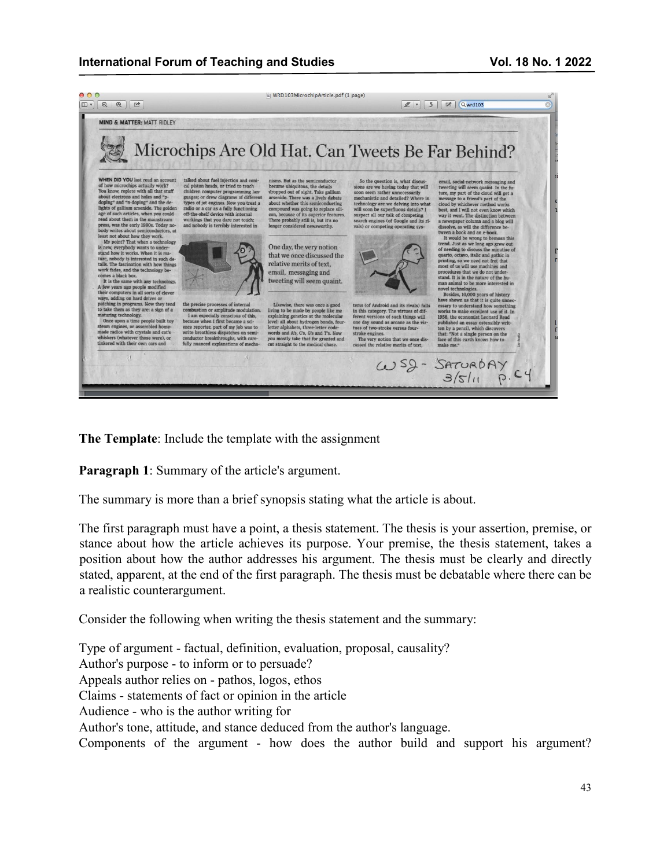### **International Forum of Teaching and Studies Vol. 18 No. 1 2022**



**The Template**: Include the template with the assignment

**Paragraph 1**: Summary of the article's argument.

The summary is more than a brief synopsis stating what the article is about.

The first paragraph must have a point, a thesis statement. The thesis is your assertion, premise, or stance about how the article achieves its purpose. Your premise, the thesis statement, takes a position about how the author addresses his argument. The thesis must be clearly and directly stated, apparent, at the end of the first paragraph. The thesis must be debatable where there can be a realistic counterargument.

Consider the following when writing the thesis statement and the summary:

Type of argument - factual, definition, evaluation, proposal, causality? Author's purpose - to inform or to persuade? Appeals author relies on - pathos, logos, ethos Claims - statements of fact or opinion in the article Audience - who is the author writing for Author's tone, attitude, and stance deduced from the author's language. Components of the argument - how does the author build and support his argument?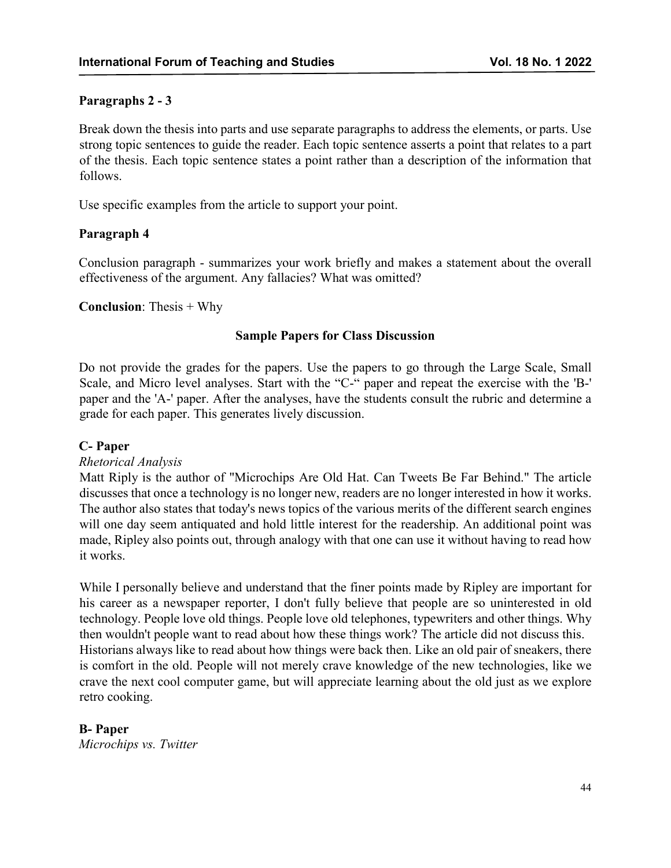# **Paragraphs 2 - 3**

Break down the thesis into parts and use separate paragraphs to address the elements, or parts. Use strong topic sentences to guide the reader. Each topic sentence asserts a point that relates to a part of the thesis. Each topic sentence states a point rather than a description of the information that follows.

Use specific examples from the article to support your point.

### **Paragraph 4**

Conclusion paragraph - summarizes your work briefly and makes a statement about the overall effectiveness of the argument. Any fallacies? What was omitted?

### **Conclusion**: Thesis + Why

### **Sample Papers for Class Discussion**

Do not provide the grades for the papers. Use the papers to go through the Large Scale, Small Scale, and Micro level analyses. Start with the "C-" paper and repeat the exercise with the 'B-' paper and the 'A-' paper. After the analyses, have the students consult the rubric and determine a grade for each paper. This generates lively discussion.

#### **C- Paper**

### *Rhetorical Analysis*

Matt Riply is the author of "Microchips Are Old Hat. Can Tweets Be Far Behind." The article discusses that once a technology is no longer new, readers are no longer interested in how it works. The author also states that today's news topics of the various merits of the different search engines will one day seem antiquated and hold little interest for the readership. An additional point was made, Ripley also points out, through analogy with that one can use it without having to read how it works.

While I personally believe and understand that the finer points made by Ripley are important for his career as a newspaper reporter, I don't fully believe that people are so uninterested in old technology. People love old things. People love old telephones, typewriters and other things. Why then wouldn't people want to read about how these things work? The article did not discuss this. Historians always like to read about how things were back then. Like an old pair of sneakers, there is comfort in the old. People will not merely crave knowledge of the new technologies, like we crave the next cool computer game, but will appreciate learning about the old just as we explore retro cooking.

# **B- Paper**

*Microchips vs. Twitter*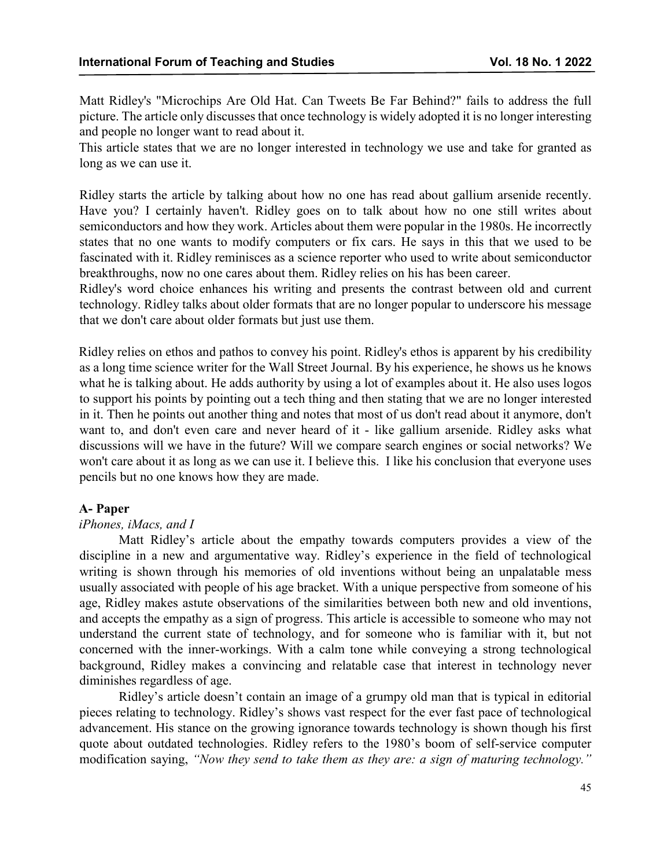Matt Ridley's "Microchips Are Old Hat. Can Tweets Be Far Behind?" fails to address the full picture. The article only discusses that once technology is widely adopted it is no longer interesting and people no longer want to read about it.

This article states that we are no longer interested in technology we use and take for granted as long as we can use it.

Ridley starts the article by talking about how no one has read about gallium arsenide recently. Have you? I certainly haven't. Ridley goes on to talk about how no one still writes about semiconductors and how they work. Articles about them were popular in the 1980s. He incorrectly states that no one wants to modify computers or fix cars. He says in this that we used to be fascinated with it. Ridley reminisces as a science reporter who used to write about semiconductor breakthroughs, now no one cares about them. Ridley relies on his has been career.

Ridley's word choice enhances his writing and presents the contrast between old and current technology. Ridley talks about older formats that are no longer popular to underscore his message that we don't care about older formats but just use them.

Ridley relies on ethos and pathos to convey his point. Ridley's ethos is apparent by his credibility as a long time science writer for the Wall Street Journal. By his experience, he shows us he knows what he is talking about. He adds authority by using a lot of examples about it. He also uses logos to support his points by pointing out a tech thing and then stating that we are no longer interested in it. Then he points out another thing and notes that most of us don't read about it anymore, don't want to, and don't even care and never heard of it - like gallium arsenide. Ridley asks what discussions will we have in the future? Will we compare search engines or social networks? We won't care about it as long as we can use it. I believe this. I like his conclusion that everyone uses pencils but no one knows how they are made.

#### **A- Paper**

### *iPhones, iMacs, and I*

Matt Ridley's article about the empathy towards computers provides a view of the discipline in a new and argumentative way. Ridley's experience in the field of technological writing is shown through his memories of old inventions without being an unpalatable mess usually associated with people of his age bracket. With a unique perspective from someone of his age, Ridley makes astute observations of the similarities between both new and old inventions, and accepts the empathy as a sign of progress. This article is accessible to someone who may not understand the current state of technology, and for someone who is familiar with it, but not concerned with the inner-workings. With a calm tone while conveying a strong technological background, Ridley makes a convincing and relatable case that interest in technology never diminishes regardless of age.

Ridley's article doesn't contain an image of a grumpy old man that is typical in editorial pieces relating to technology. Ridley's shows vast respect for the ever fast pace of technological advancement. His stance on the growing ignorance towards technology is shown though his first quote about outdated technologies. Ridley refers to the 1980's boom of self-service computer modification saying, *"Now they send to take them as they are: a sign of maturing technology."*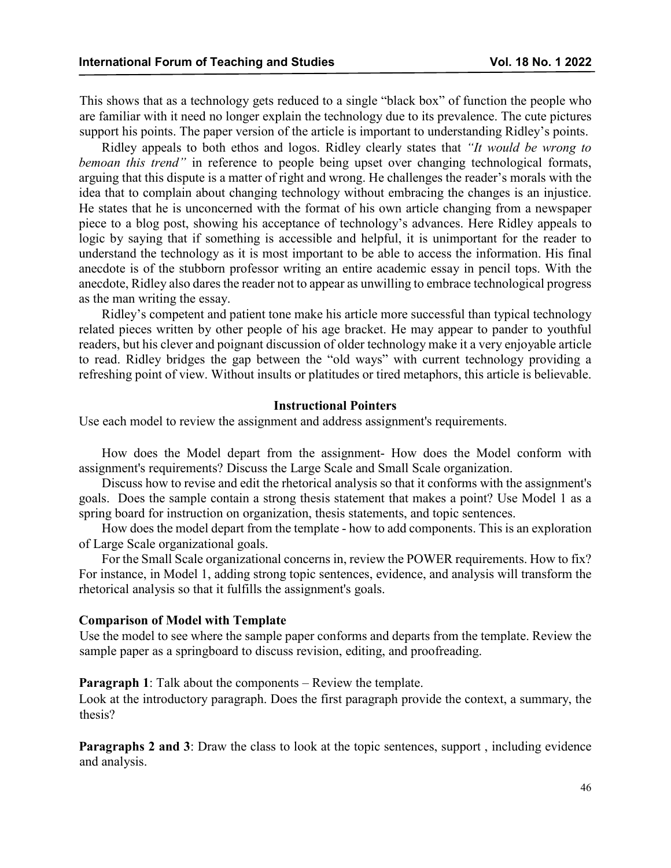This shows that as a technology gets reduced to a single "black box" of function the people who are familiar with it need no longer explain the technology due to its prevalence. The cute pictures support his points. The paper version of the article is important to understanding Ridley's points.

Ridley appeals to both ethos and logos. Ridley clearly states that *"It would be wrong to bemoan this trend"* in reference to people being upset over changing technological formats, arguing that this dispute is a matter of right and wrong. He challenges the reader's morals with the idea that to complain about changing technology without embracing the changes is an injustice. He states that he is unconcerned with the format of his own article changing from a newspaper piece to a blog post, showing his acceptance of technology's advances. Here Ridley appeals to logic by saying that if something is accessible and helpful, it is unimportant for the reader to understand the technology as it is most important to be able to access the information. His final anecdote is of the stubborn professor writing an entire academic essay in pencil tops. With the anecdote, Ridley also dares the reader not to appear as unwilling to embrace technological progress as the man writing the essay.

Ridley's competent and patient tone make his article more successful than typical technology related pieces written by other people of his age bracket. He may appear to pander to youthful readers, but his clever and poignant discussion of older technology make it a very enjoyable article to read. Ridley bridges the gap between the "old ways" with current technology providing a refreshing point of view. Without insults or platitudes or tired metaphors, this article is believable.

#### **Instructional Pointers**

Use each model to review the assignment and address assignment's requirements.

How does the Model depart from the assignment- How does the Model conform with assignment's requirements? Discuss the Large Scale and Small Scale organization.

Discuss how to revise and edit the rhetorical analysis so that it conforms with the assignment's goals. Does the sample contain a strong thesis statement that makes a point? Use Model 1 as a spring board for instruction on organization, thesis statements, and topic sentences.

How does the model depart from the template - how to add components. This is an exploration of Large Scale organizational goals.

For the Small Scale organizational concerns in, review the POWER requirements. How to fix? For instance, in Model 1, adding strong topic sentences, evidence, and analysis will transform the rhetorical analysis so that it fulfills the assignment's goals.

#### **Comparison of Model with Template**

Use the model to see where the sample paper conforms and departs from the template. Review the sample paper as a springboard to discuss revision, editing, and proofreading.

**Paragraph 1**: Talk about the components – Review the template.

Look at the introductory paragraph. Does the first paragraph provide the context, a summary, the thesis?

**Paragraphs 2 and 3:** Draw the class to look at the topic sentences, support, including evidence and analysis.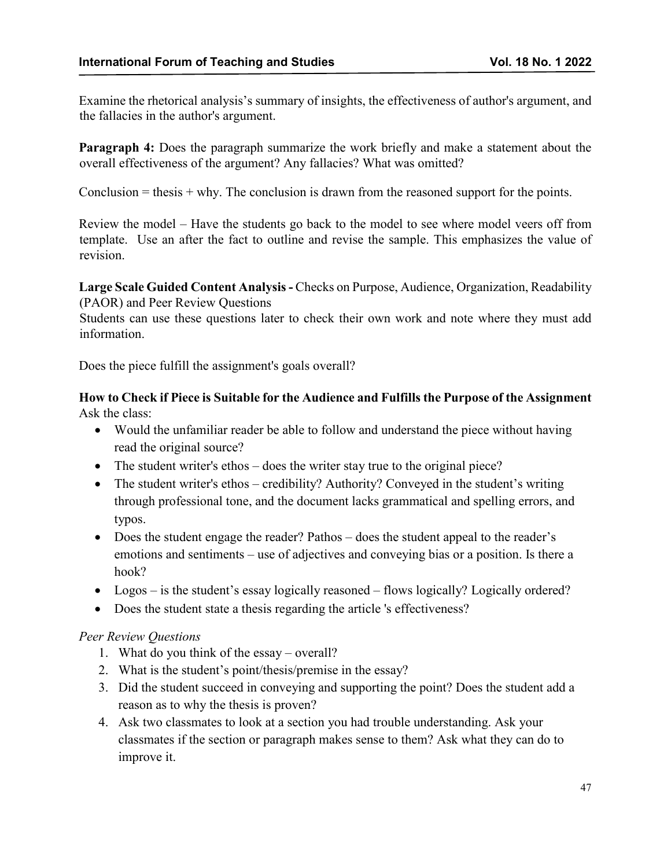Examine the rhetorical analysis's summary of insights, the effectiveness of author's argument, and the fallacies in the author's argument.

**Paragraph 4:** Does the paragraph summarize the work briefly and make a statement about the overall effectiveness of the argument? Any fallacies? What was omitted?

Conclusion  $=$  thesis  $+$  why. The conclusion is drawn from the reasoned support for the points.

Review the model – Have the students go back to the model to see where model veers off from template. Use an after the fact to outline and revise the sample. This emphasizes the value of revision.

**Large Scale Guided Content Analysis-** Checks on Purpose, Audience, Organization, Readability (PAOR) and Peer Review Questions

Students can use these questions later to check their own work and note where they must add information.

Does the piece fulfill the assignment's goals overall?

# **How to Check if Piece is Suitable for the Audience and Fulfills the Purpose of the Assignment** Ask the class:

- Would the unfamiliar reader be able to follow and understand the piece without having read the original source?
- The student writer's ethos does the writer stay true to the original piece?
- The student writer's ethos credibility? Authority? Conveyed in the student's writing through professional tone, and the document lacks grammatical and spelling errors, and typos.
- Does the student engage the reader? Pathos does the student appeal to the reader's emotions and sentiments – use of adjectives and conveying bias or a position. Is there a hook?
- Logos is the student's essay logically reasoned flows logically? Logically ordered?
- Does the student state a thesis regarding the article 's effectiveness?

# *Peer Review Questions*

- 1. What do you think of the essay overall?
- 2. What is the student's point/thesis/premise in the essay?
- 3. Did the student succeed in conveying and supporting the point? Does the student add a reason as to why the thesis is proven?
- 4. Ask two classmates to look at a section you had trouble understanding. Ask your classmates if the section or paragraph makes sense to them? Ask what they can do to improve it.